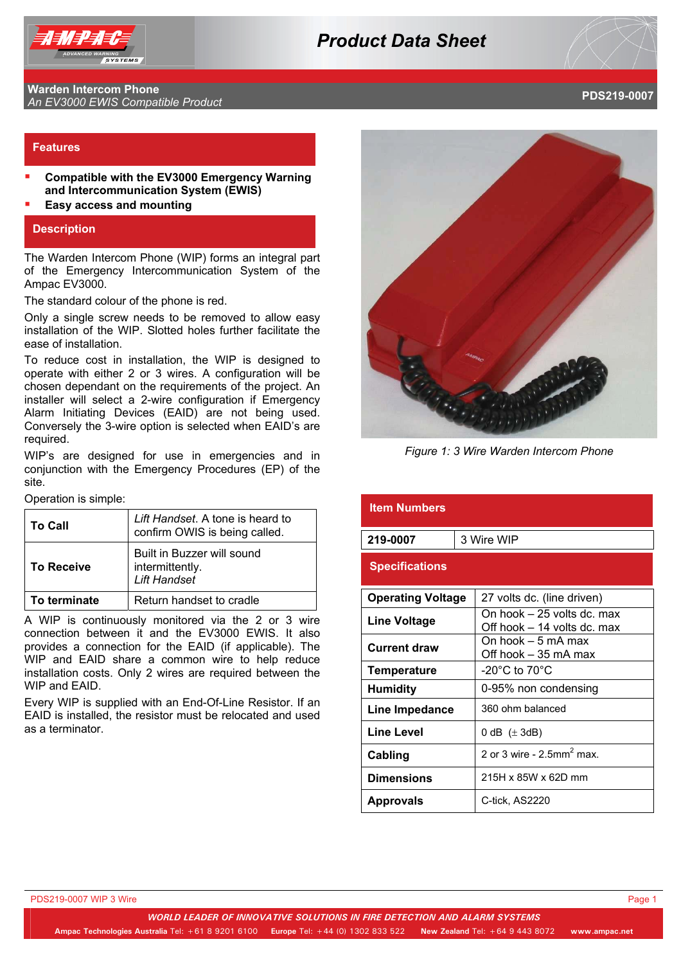

# *Product Data Sheet*

#### **Warden Intercom Phone An EV3000 EWIS Compatible Product Product PDS219-0007**<br>An EV3000 EWIS Compatible Product

## **Features**

- **Compatible with the EV3000 Emergency Warning and Intercommunication System (EWIS)**
- **Easy access and mounting**

#### **Description**

The Warden Intercom Phone (WIP) forms an integral part of the Emergency Intercommunication System of the Ampac EV3000.

The standard colour of the phone is red.

Only a single screw needs to be removed to allow easy installation of the WIP. Slotted holes further facilitate the ease of installation.

To reduce cost in installation, the WIP is designed to operate with either 2 or 3 wires. A configuration will be chosen dependant on the requirements of the project. An installer will select a 2-wire configuration if Emergency Alarm Initiating Devices (EAID) are not being used. Conversely the 3-wire option is selected when EAID's are required.

WIP's are designed for use in emergencies and in conjunction with the Emergency Procedures (EP) of the site.

Operation is simple:

| <b>To Call</b>    | Lift Handset. A tone is heard to<br>confirm OWIS is being called.    |  |
|-------------------|----------------------------------------------------------------------|--|
| <b>To Receive</b> | Built in Buzzer will sound<br>intermittently.<br><b>Lift Handset</b> |  |
| To terminate      | Return handset to cradle                                             |  |

A WIP is continuously monitored via the 2 or 3 wire connection between it and the EV3000 EWIS. It also provides a connection for the EAID (if applicable). The WIP and EAID share a common wire to help reduce installation costs. Only 2 wires are required between the WIP and EAID.

Every WIP is supplied with an End-Of-Line Resistor. If an EAID is installed, the resistor must be relocated and used as a terminator.



*Figure 1: 3 Wire Warden Intercom Phone*

| <b>Item Numbers</b>      |            |                                                           |
|--------------------------|------------|-----------------------------------------------------------|
| 219-0007                 | 3 Wire WIP |                                                           |
| <b>Specifications</b>    |            |                                                           |
| <b>Operating Voltage</b> |            | 27 volts dc. (line driven)                                |
| <b>Line Voltage</b>      |            | On hook – 25 volts dc. max<br>Off hook – 14 volts dc. max |
| <b>Current draw</b>      |            | On hook – 5 mA max<br>Off hook – 35 mA max                |
| <b>Temperature</b>       |            | -20 $^{\circ}$ C to 70 $^{\circ}$ C                       |
| <b>Humidity</b>          |            | 0-95% non condensing                                      |
| Line Impedance           |            | 360 ohm balanced                                          |
| <b>Line Level</b>        |            | 0 dB $(\pm 3$ dB)                                         |
| Cabling                  |            | 2 or 3 wire - $2.5$ mm <sup>2</sup> max.                  |
| <b>Dimensions</b>        |            | 215H x 85W x 62D mm                                       |
| <b>Approvals</b>         |            | C-tick. AS2220                                            |